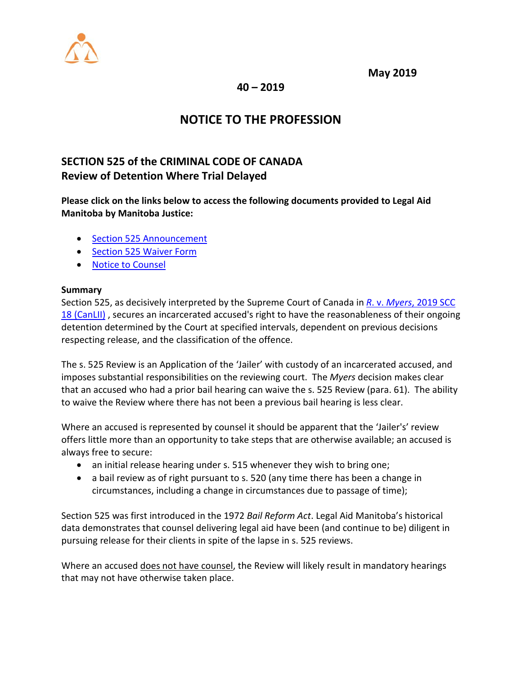

**May 2019**

**40 – 2019**

# **NOTICE TO THE PROFESSION**

## **SECTION 525 of the CRIMINAL CODE OF CANADA Review of Detention Where Trial Delayed**

**Please click on the links below to access the following documents provided to Legal Aid Manitoba by Manitoba Justice:**

- [Section 525 Announcement](http://www.legalaid.mb.ca:3389/board/Section%20525%20announcement.pdf)
- [Section 525 Waiver Form](http://www.legalaid.mb.ca:3389/board/Section%20525%20Waiver%20Form%20Final-1.pdf)
- [Notice to Counsel](http://www.legalaid.mb.ca:3389/board/NOTICE%20TO%20COUNSEL%20of%20Application.pdf)

### **Summary**

Section 525, as decisively interpreted by the Supreme Court of Canada in *R*. v. *Myers*[, 2019 SCC](http://canlii.ca/t/hzd02)  [18 \(CanLII\)](http://canlii.ca/t/hzd02) , secures an incarcerated accused's right to have the reasonableness of their ongoing detention determined by the Court at specified intervals, dependent on previous decisions respecting release, and the classification of the offence.

The s. 525 Review is an Application of the 'Jailer' with custody of an incarcerated accused, and imposes substantial responsibilities on the reviewing court. The *Myers* decision makes clear that an accused who had a prior bail hearing can waive the s. 525 Review (para. 61). The ability to waive the Review where there has not been a previous bail hearing is less clear.

Where an accused is represented by counsel it should be apparent that the 'Jailer's' review offers little more than an opportunity to take steps that are otherwise available; an accused is always free to secure:

- an initial release hearing under s. 515 whenever they wish to bring one;
- a bail review as of right pursuant to s. 520 (any time there has been a change in circumstances, including a change in circumstances due to passage of time);

Section 525 was first introduced in the 1972 *Bail Reform Act*. Legal Aid Manitoba's historical data demonstrates that counsel delivering legal aid have been (and continue to be) diligent in pursuing release for their clients in spite of the lapse in s. 525 reviews.

Where an accused does not have counsel, the Review will likely result in mandatory hearings that may not have otherwise taken place.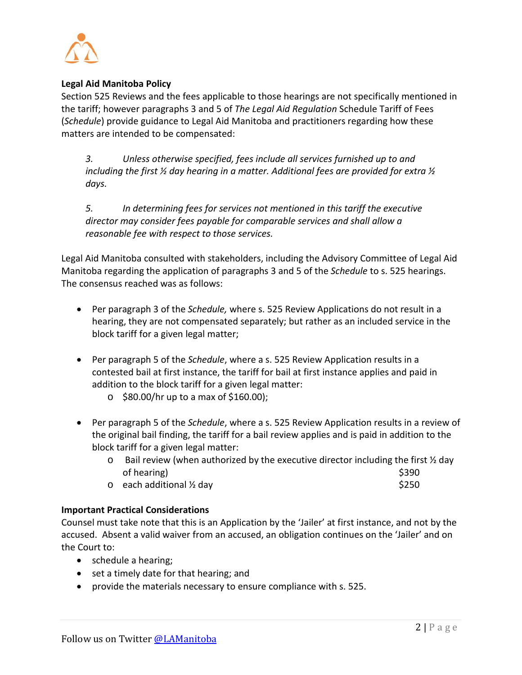

#### **Legal Aid Manitoba Policy**

Section 525 Reviews and the fees applicable to those hearings are not specifically mentioned in the tariff; however paragraphs 3 and 5 of *The Legal Aid Regulation* Schedule Tariff of Fees (*Schedule*) provide guidance to Legal Aid Manitoba and practitioners regarding how these matters are intended to be compensated:

*3. Unless otherwise specified, fees include all services furnished up to and including the first ½ day hearing in a matter. Additional fees are provided for extra ½ days.* 

*5. In determining fees for services not mentioned in this tariff the executive director may consider fees payable for comparable services and shall allow a reasonable fee with respect to those services.*

Legal Aid Manitoba consulted with stakeholders, including the Advisory Committee of Legal Aid Manitoba regarding the application of paragraphs 3 and 5 of the *Schedule* to s. 525 hearings. The consensus reached was as follows:

- Per paragraph 3 of the *Schedule,* where s. 525 Review Applications do not result in a hearing, they are not compensated separately; but rather as an included service in the block tariff for a given legal matter;
- Per paragraph 5 of the *Schedule*, where a s. 525 Review Application results in a contested bail at first instance, the tariff for bail at first instance applies and paid in addition to the block tariff for a given legal matter:
	- $\circ$  \$80.00/hr up to a max of \$160.00);
- Per paragraph 5 of the *Schedule*, where a s. 525 Review Application results in a review of the original bail finding, the tariff for a bail review applies and is paid in addition to the block tariff for a given legal matter:
	- $\circ$  Bail review (when authorized by the executive director including the first  $\frac{1}{2}$  day of hearing)  $\sim$  \$390
	- o each additional ½ day \$250

#### **Important Practical Considerations**

Counsel must take note that this is an Application by the 'Jailer' at first instance, and not by the accused. Absent a valid waiver from an accused, an obligation continues on the 'Jailer' and on the Court to:

- schedule a hearing;
- set a timely date for that hearing; and
- provide the materials necessary to ensure compliance with s. 525.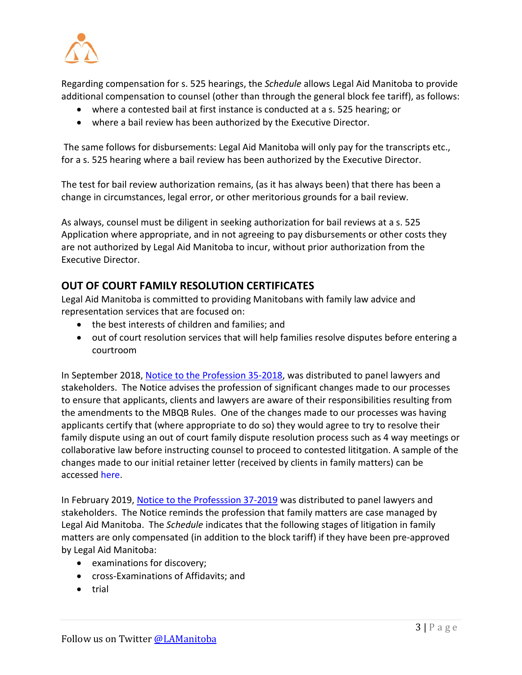

Regarding compensation for s. 525 hearings, the *Schedule* allows Legal Aid Manitoba to provide additional compensation to counsel (other than through the general block fee tariff), as follows:

- where a contested bail at first instance is conducted at a s. 525 hearing; or
- where a bail review has been authorized by the Executive Director.

The same follows for disbursements: Legal Aid Manitoba will only pay for the transcripts etc., for a s. 525 hearing where a bail review has been authorized by the Executive Director.

The test for bail review authorization remains, (as it has always been) that there has been a change in circumstances, legal error, or other meritorious grounds for a bail review.

As always, counsel must be diligent in seeking authorization for bail reviews at a s. 525 Application where appropriate, and in not agreeing to pay disbursements or other costs they are not authorized by Legal Aid Manitoba to incur, without prior authorization from the Executive Director.

### **OUT OF COURT FAMILY RESOLUTION CERTIFICATES**

Legal Aid Manitoba is committed to providing Manitobans with family law advice and representation services that are focused on:

- the best interests of children and families; and
- out of court resolution services that will help families resolve disputes before entering a courtroom

In September 2018, [Notice to the Profession 35-2018,](https://www.legalaid.mb.ca/wp-content/WordPress/PDF/np_35_2018.pdf) was distributed to panel lawyers and stakeholders. The Notice advises the profession of significant changes made to our processes to ensure that applicants, clients and lawyers are aware of their responsibilities resulting from the amendments to the MBQB Rules. One of the changes made to our processes was having applicants certify that (where appropriate to do so) they would agree to try to resolve their family dispute using an out of court family dispute resolution process such as 4 way meetings or collaborative law before instructing counsel to proceed to contested lititgation. A sample of the changes made to our initial retainer letter (received by clients in family matters) can be accessed [here.](http://www.legalaid.mb.ca:3389/board/Retaining%20Letter.pdf)

In February 2019, [Notice to the Professsion 37-2019](https://www.legalaid.mb.ca/wp-content/WordPress/PDF/np_37_2019.pdf) was distributed to panel lawyers and stakeholders. The Notice reminds the profession that family matters are case managed by Legal Aid Manitoba. The *Schedule* indicates that the following stages of litigation in family matters are only compensated (in addition to the block tariff) if they have been pre-approved by Legal Aid Manitoba:

- examinations for discovery;
- cross-Examinations of Affidavits; and
- trial